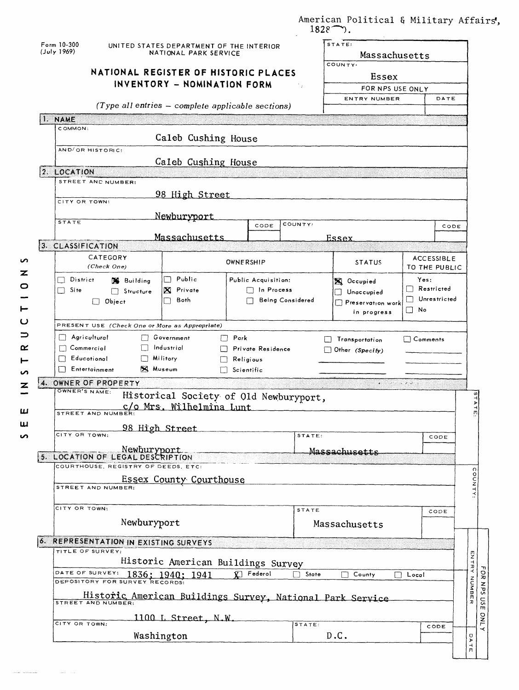|                                                                    |                                                                     | $1828^{\sim}$ . | American Political & Military Affairs,                                                                                                                                                                                                                                                                                                                                                                                                                      |                         |                                                                        |  |  |  |  |
|--------------------------------------------------------------------|---------------------------------------------------------------------|-----------------|-------------------------------------------------------------------------------------------------------------------------------------------------------------------------------------------------------------------------------------------------------------------------------------------------------------------------------------------------------------------------------------------------------------------------------------------------------------|-------------------------|------------------------------------------------------------------------|--|--|--|--|
| Form 10-300<br>(July 1969)                                         | UNITED STATES DEPARTMENT OF THE INTERIOR<br>NATIONAL PARK SERVICE   |                 |                                                                                                                                                                                                                                                                                                                                                                                                                                                             | STATE:<br>Massachusetts |                                                                        |  |  |  |  |
|                                                                    |                                                                     |                 | COUNTY.                                                                                                                                                                                                                                                                                                                                                                                                                                                     |                         |                                                                        |  |  |  |  |
|                                                                    | NATIONAL REGISTER OF HISTORIC PLACES<br>INVENTORY - NOMINATION FORM |                 |                                                                                                                                                                                                                                                                                                                                                                                                                                                             |                         |                                                                        |  |  |  |  |
|                                                                    |                                                                     |                 | FOR NPS USE ONLY                                                                                                                                                                                                                                                                                                                                                                                                                                            |                         |                                                                        |  |  |  |  |
| (Type all entries - complete applicable sections)                  |                                                                     |                 | ENTRY NUMBER                                                                                                                                                                                                                                                                                                                                                                                                                                                | DATE                    |                                                                        |  |  |  |  |
| 1. NAME                                                            |                                                                     |                 |                                                                                                                                                                                                                                                                                                                                                                                                                                                             |                         |                                                                        |  |  |  |  |
| COMMON:                                                            |                                                                     |                 |                                                                                                                                                                                                                                                                                                                                                                                                                                                             |                         |                                                                        |  |  |  |  |
|                                                                    | Caleb Cushing House                                                 |                 |                                                                                                                                                                                                                                                                                                                                                                                                                                                             |                         |                                                                        |  |  |  |  |
| AND/OR HISTORIC:                                                   |                                                                     |                 |                                                                                                                                                                                                                                                                                                                                                                                                                                                             |                         |                                                                        |  |  |  |  |
| 2. LOCATION                                                        | Caleb Cushing House                                                 |                 |                                                                                                                                                                                                                                                                                                                                                                                                                                                             |                         |                                                                        |  |  |  |  |
| STREET AND NUMBER:                                                 |                                                                     |                 |                                                                                                                                                                                                                                                                                                                                                                                                                                                             |                         |                                                                        |  |  |  |  |
| 98 High Street                                                     |                                                                     |                 |                                                                                                                                                                                                                                                                                                                                                                                                                                                             |                         |                                                                        |  |  |  |  |
| CITY OR TOWN:                                                      |                                                                     |                 |                                                                                                                                                                                                                                                                                                                                                                                                                                                             |                         |                                                                        |  |  |  |  |
| Newburyport<br>STATE                                               |                                                                     |                 |                                                                                                                                                                                                                                                                                                                                                                                                                                                             |                         |                                                                        |  |  |  |  |
|                                                                    | CODE                                                                | COUNTY:         |                                                                                                                                                                                                                                                                                                                                                                                                                                                             | CODE                    |                                                                        |  |  |  |  |
| Massachusetts<br>3. CLASSIFICATION                                 |                                                                     |                 | Essex                                                                                                                                                                                                                                                                                                                                                                                                                                                       |                         |                                                                        |  |  |  |  |
| CATEGORY                                                           |                                                                     |                 |                                                                                                                                                                                                                                                                                                                                                                                                                                                             | <b>ACCESSIBLE</b>       |                                                                        |  |  |  |  |
| (Check One)                                                        | OWNERSHIP                                                           |                 | <b>STATUS</b>                                                                                                                                                                                                                                                                                                                                                                                                                                               | TO THE PUBLIC           |                                                                        |  |  |  |  |
| Public<br>District<br><b>S</b> Building                            | Public Acquisition:                                                 |                 | <b>X</b> Occupied                                                                                                                                                                                                                                                                                                                                                                                                                                           | Yes:                    |                                                                        |  |  |  |  |
| $\boxtimes$ Private<br>Site<br>$\Box$ Structure                    | $\Box$ In Process                                                   |                 | Unaccupied                                                                                                                                                                                                                                                                                                                                                                                                                                                  | $\Box$ Restricted       |                                                                        |  |  |  |  |
| Both<br>$\Box$ Object                                              | Being Considered                                                    |                 | Preservation work                                                                                                                                                                                                                                                                                                                                                                                                                                           | Unrestricted            |                                                                        |  |  |  |  |
|                                                                    |                                                                     |                 | in progress                                                                                                                                                                                                                                                                                                                                                                                                                                                 | ∏ No                    |                                                                        |  |  |  |  |
| PRESENT USE (Check One or More as Appropriate)                     |                                                                     |                 |                                                                                                                                                                                                                                                                                                                                                                                                                                                             |                         |                                                                        |  |  |  |  |
| Agricultural<br>Government<br>$\Box$<br>П                          | $\Box$ Park                                                         |                 | Transportation                                                                                                                                                                                                                                                                                                                                                                                                                                              | $\Box$ Comments         |                                                                        |  |  |  |  |
| Industrial<br>$\Box$ Commerciol                                    | Private Residence                                                   |                 | Other (Specify)                                                                                                                                                                                                                                                                                                                                                                                                                                             |                         |                                                                        |  |  |  |  |
| $\Box$ Militory<br>Educotional<br><b>X</b> Museum<br>Entertainment | Religious                                                           |                 |                                                                                                                                                                                                                                                                                                                                                                                                                                                             |                         |                                                                        |  |  |  |  |
|                                                                    | $\Box$ Scientific                                                   |                 |                                                                                                                                                                                                                                                                                                                                                                                                                                                             |                         |                                                                        |  |  |  |  |
| 4. OWNER OF PROPERTY<br>OWNER'S NAME:                              |                                                                     |                 | $\mathcal{L}(\mathcal{L}(\mathcal{L}(\mathcal{L}(\mathcal{L}(\mathcal{L}(\mathcal{L}(\mathcal{L}(\mathcal{L}(\mathcal{L}(\mathcal{L}(\mathcal{L}(\mathcal{L}(\mathcal{L}(\mathcal{L}(\mathcal{L}(\mathcal{L}(\mathcal{L}(\mathcal{L}(\mathcal{L}(\mathcal{L}(\mathcal{L}(\mathcal{L}(\mathcal{L}(\mathcal{L}(\mathcal{L}(\mathcal{L}(\mathcal{L}(\mathcal{L}(\mathcal{L}(\mathcal{L}(\mathcal{L}(\mathcal{L}(\mathcal{L}(\mathcal{L}(\mathcal{L}(\mathcal{$ |                         |                                                                        |  |  |  |  |
| c/o Mrs. Wilhelmina Lunt                                           | Historical Society of Old Newburyport,                              |                 |                                                                                                                                                                                                                                                                                                                                                                                                                                                             |                         | 15                                                                     |  |  |  |  |
| STREET AND NUMBER:                                                 |                                                                     |                 |                                                                                                                                                                                                                                                                                                                                                                                                                                                             |                         | ATE:                                                                   |  |  |  |  |
| 98 High Street                                                     |                                                                     |                 |                                                                                                                                                                                                                                                                                                                                                                                                                                                             |                         |                                                                        |  |  |  |  |
| CITY OR TOWN:                                                      |                                                                     | STATE:          |                                                                                                                                                                                                                                                                                                                                                                                                                                                             | CODE                    |                                                                        |  |  |  |  |
|                                                                    |                                                                     |                 |                                                                                                                                                                                                                                                                                                                                                                                                                                                             |                         |                                                                        |  |  |  |  |
| Newburyport                                                        |                                                                     |                 | Massachusetts                                                                                                                                                                                                                                                                                                                                                                                                                                               |                         |                                                                        |  |  |  |  |
| 5. LOCATION OF LEGAL DESCRIPTION                                   |                                                                     |                 |                                                                                                                                                                                                                                                                                                                                                                                                                                                             |                         |                                                                        |  |  |  |  |
| COURTHOUSE, REGISTRY OF DEEDS, ETC:                                |                                                                     |                 |                                                                                                                                                                                                                                                                                                                                                                                                                                                             |                         |                                                                        |  |  |  |  |
| Essex County Courthouse<br>STREET AND NUMBER                       |                                                                     |                 |                                                                                                                                                                                                                                                                                                                                                                                                                                                             |                         |                                                                        |  |  |  |  |
|                                                                    |                                                                     |                 |                                                                                                                                                                                                                                                                                                                                                                                                                                                             |                         |                                                                        |  |  |  |  |
| CITY OR TOWN:                                                      |                                                                     | <b>STATE</b>    |                                                                                                                                                                                                                                                                                                                                                                                                                                                             | CODE                    |                                                                        |  |  |  |  |
| Newburyport                                                        |                                                                     |                 | Massachusetts                                                                                                                                                                                                                                                                                                                                                                                                                                               |                         |                                                                        |  |  |  |  |
|                                                                    |                                                                     |                 |                                                                                                                                                                                                                                                                                                                                                                                                                                                             |                         |                                                                        |  |  |  |  |
| <b>6. REPRESENTATION IN EXISTING SURVEYS</b><br>TITLE OF SURVEY:   |                                                                     |                 |                                                                                                                                                                                                                                                                                                                                                                                                                                                             |                         |                                                                        |  |  |  |  |
|                                                                    |                                                                     |                 |                                                                                                                                                                                                                                                                                                                                                                                                                                                             |                         |                                                                        |  |  |  |  |
|                                                                    | Historic American Buildings Survey<br>$\overline{Y}$ Federol        | $\Box$ State    | County                                                                                                                                                                                                                                                                                                                                                                                                                                                      | Local                   |                                                                        |  |  |  |  |
| DATE OF SURVEY: 1836; 1940; 1941<br>DEPOSITORY FOR SURVEY RECORDS: |                                                                     |                 |                                                                                                                                                                                                                                                                                                                                                                                                                                                             |                         |                                                                        |  |  |  |  |
| Historic American Buildings Survey, National Park Service          |                                                                     |                 |                                                                                                                                                                                                                                                                                                                                                                                                                                                             |                         |                                                                        |  |  |  |  |
| STREET AND NUMBER:                                                 |                                                                     |                 |                                                                                                                                                                                                                                                                                                                                                                                                                                                             |                         |                                                                        |  |  |  |  |
| 1100 L Street, N.W.<br>CITY OR TOWN:                               |                                                                     | STATE:          |                                                                                                                                                                                                                                                                                                                                                                                                                                                             |                         |                                                                        |  |  |  |  |
| Washington                                                         |                                                                     |                 | D.C.                                                                                                                                                                                                                                                                                                                                                                                                                                                        | CODE                    | U<br><b>OONTY:</b><br><b>ENTRY NONER</b><br>O<br>$\blacktriangleright$ |  |  |  |  |

z

o

 $\overline{C}$ 

 $\Rightarrow$  $\alpha$  $\vdash$  $\mathfrak{c}$  $\overline{z}$ 

**LJ UJ uo**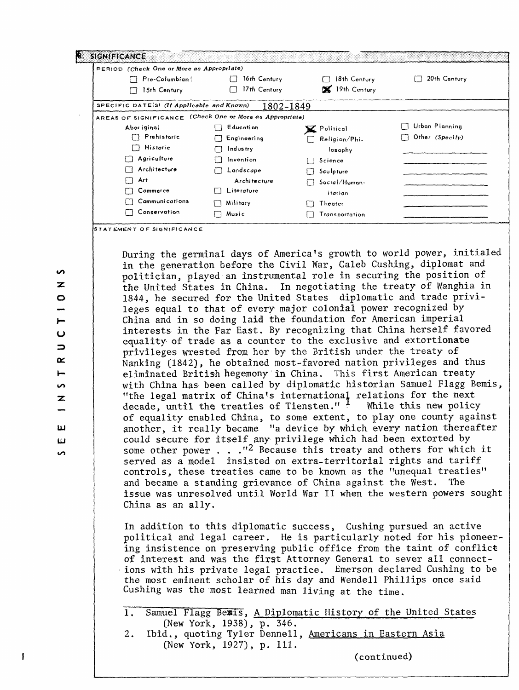| PERIOD (Check One or More as Appropriate)                |              |                    |                 |
|----------------------------------------------------------|--------------|--------------------|-----------------|
| Pre-Columbian                                            | 16th Century | 18th Century       | 20th Century    |
| 15th Century                                             | 17th Century | 19th Century       |                 |
| SPECIFIC DATE(S) (If Applicable and Known)               | 1802-1849    |                    |                 |
| AREAS OF SIGNIFICANCE (Check One or More as Appropriate) |              |                    |                 |
| Abor iginal                                              | Education    | Y Political        | Urban Planning  |
| Prehistoric                                              | Engineering  | Religion/Phi.<br>ᄀ | Other (Specify) |
| Historic                                                 | Industry     | losophy            |                 |
| Agriculture                                              | Invention    | Science            |                 |
| Architecture                                             | Landscape    | Sculpture          |                 |
| Art                                                      | Architecture | Social/Human-      |                 |
| Commerce                                                 | Literature   | itarian            |                 |
| Communications                                           | Military     | Theater            |                 |
| Conservation                                             | Music        | Transportation     |                 |

During the germinal days of America's growth to world power, initialed in the generation before the Civil War, Caleb Gushing, diplomat and politician, played an instrumental role in securing the position of the United States in China. In negotiating the treaty of Wanghia in 1844, he secured for the United States diplomatic and trade privileges equal to that of every major colonial power recognized by China and in so doing laid the foundation for American imperial interests in the Far East. By recognizing that China herself favored equality of trade as a counter to the exclusive and extortionate privileges wrested from her by the British under the treaty of Nanking (1842), he obtained most-favored nation privileges and thus eliminated British hegemony in China. This first American treaty with China has been called by diplomatic historian Samuel Flagg Bemis, "the legal matrix of China's international relations for the next decade, until the treaties of Tiensten."  $\frac{1}{1}$  While this new policy of equality enabled China, to some extent, to play one county against another, it really became "a device by which every nation thereafter could secure for itself any privilege which had been extorted by some other power . . . "<sup>2</sup> Because this treaty and others for which it served as a model insisted on extra-territorial rights and tariff controls, these treaties came to be known as the "unequal treaties" and became a standing grievance of China against the West. The issue was unresolved until World War II when the western powers sought China as an ally.

In addition to this diplomatic success, Gushing pursued an active political and legal career. He is particularly noted for his pioneering insistence on preserving public office from the taint of conflict of interest and was the first Attorney General to sever all connections with his private legal practice. Emerson declared Gushing to be the most eminent scholar of his day and Wendell Phillips once said Gushing was the most learned man living at the time.

1. Samuel Flagg Bemis, A Diplomatic History of the United States [New York, 1938), p. 346. 2. Ibid., quoting Tyler Dennell, Americans in Eastern Asia

(New York, 1927), p. 111.

(continued)

z o iu 3 a: h-ഗ Z **LU LJ**  $\mathbf{v}$ 

 $\mathbf{v}$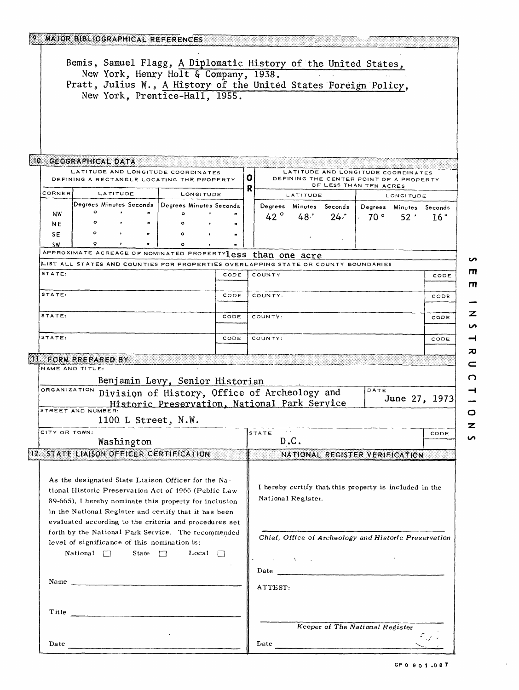|                                                                                                                                                          | 9. MAJOR BIBLIOGRAPHICAL REFERENCES<br>Bemis, Samuel Flagg, A Diplomatic History of the United States,                                                                                                                                                                                   |                                                                                            |                                 |        |                                                        |                    |                                 |                                                                               |                 |               |
|----------------------------------------------------------------------------------------------------------------------------------------------------------|------------------------------------------------------------------------------------------------------------------------------------------------------------------------------------------------------------------------------------------------------------------------------------------|--------------------------------------------------------------------------------------------|---------------------------------|--------|--------------------------------------------------------|--------------------|---------------------------------|-------------------------------------------------------------------------------|-----------------|---------------|
|                                                                                                                                                          | New York, Henry Holt & Company, 1938.<br>Pratt, Julius W., A History of the United States Foreign Policy,<br>New York, Prentice-Hall, 1955.                                                                                                                                              |                                                                                            |                                 |        |                                                        |                    |                                 |                                                                               |                 |               |
|                                                                                                                                                          | 10. GEOGRAPHICAL DATA                                                                                                                                                                                                                                                                    |                                                                                            |                                 |        |                                                        |                    |                                 |                                                                               |                 |               |
|                                                                                                                                                          | LATITUDE AND LONGITUDE COORDINATES<br>DEFINING A RECTANGLE LOCATING THE PROPERTY                                                                                                                                                                                                         |                                                                                            |                                 | o<br>R |                                                        |                    |                                 | LATITUDE AND LONGITUDE COORDINATES<br>DEFINING THE CENTER POINT OF A PROPERTY |                 |               |
| CORNER                                                                                                                                                   | LATITUDE                                                                                                                                                                                                                                                                                 | LONGITUDE                                                                                  |                                 |        | OF LESS THAN TEN ACRES<br>LATITUDE<br><b>LONGITUDE</b> |                    |                                 |                                                                               |                 |               |
| <b>NW</b><br>NE                                                                                                                                          | Degrees Minutes Seconds   Degrees Minutes Seconds<br>۰                                                                                                                                                                                                                                   |                                                                                            | $\boldsymbol{r}$                |        | 42 $^{\circ}$                                          | 48'                | Degrees Minutes Seconds<br>24.7 | Degrees Minutes Seconds<br>$\sim 70$ $^{\circ}$                               | 52 <sup>2</sup> | 16"           |
| SE<br><b>SW</b>                                                                                                                                          | ۰                                                                                                                                                                                                                                                                                        | $\circ$<br>$\circ$                                                                         |                                 |        |                                                        |                    |                                 |                                                                               |                 |               |
|                                                                                                                                                          | APPROXIMATE ACREAGE OF NOMINATED PROPERTY 1eSS                                                                                                                                                                                                                                           |                                                                                            |                                 |        | than one acre                                          |                    |                                 |                                                                               |                 |               |
|                                                                                                                                                          | LIST ALL STATES AND COUNTIES FOR PROPERTIES OVERLAPPING STATE OR COUNTY BOUNDARIES                                                                                                                                                                                                       |                                                                                            |                                 |        |                                                        |                    |                                 |                                                                               |                 |               |
| STATE:                                                                                                                                                   |                                                                                                                                                                                                                                                                                          |                                                                                            | CODE                            |        | COUNTY                                                 |                    |                                 |                                                                               |                 | CODE          |
| STATE:                                                                                                                                                   |                                                                                                                                                                                                                                                                                          |                                                                                            | CODE                            |        | COUNTY:                                                |                    |                                 |                                                                               |                 | CODE          |
| STATE:                                                                                                                                                   |                                                                                                                                                                                                                                                                                          |                                                                                            | CODE                            |        | COUNTY:                                                |                    |                                 |                                                                               |                 | CODE          |
| STATE:                                                                                                                                                   |                                                                                                                                                                                                                                                                                          |                                                                                            | CODE                            |        | COUNTY:                                                |                    |                                 |                                                                               |                 | CODE          |
|                                                                                                                                                          | <b>11. FORM PREPARED BY</b>                                                                                                                                                                                                                                                              |                                                                                            |                                 |        |                                                        |                    |                                 |                                                                               |                 |               |
|                                                                                                                                                          | NAME AND TITLE:                                                                                                                                                                                                                                                                          |                                                                                            |                                 |        |                                                        |                    |                                 |                                                                               |                 |               |
| ORGANIZATION                                                                                                                                             | Benjamin Levy, Senior Historian<br>Division of History, Office of Archeology and<br>STREET AND NUMBER:<br>1100 L Street, N.W.                                                                                                                                                            | Historic Preservation, National Park Service                                               |                                 |        |                                                        |                    |                                 | DATE                                                                          |                 | June 27, 1973 |
|                                                                                                                                                          | CITY OR TOWN:                                                                                                                                                                                                                                                                            |                                                                                            | STATE                           |        |                                                        |                    |                                 | CODE                                                                          |                 |               |
|                                                                                                                                                          | Washington<br>12. STATE LIAISON OFFICER CERTIFICATION                                                                                                                                                                                                                                    |                                                                                            |                                 |        | D.C.                                                   |                    |                                 |                                                                               |                 |               |
|                                                                                                                                                          |                                                                                                                                                                                                                                                                                          |                                                                                            |                                 |        |                                                        |                    |                                 | NATIONAL REGISTER VERIFICATION                                                |                 |               |
|                                                                                                                                                          | As the designated State Liaison Officer for the Na-<br>tional Historic Preservation Act of 1966 (Public Law<br>89-665), I hereby nominate this property for inclusion<br>in the National Register and certify that it has been<br>evaluated according to the criteria and procedures set |                                                                                            |                                 |        |                                                        | National Register. |                                 | I hereby certify that this property is included in the                        |                 |               |
| forth by the National Park Service. The recommended<br>level of significance of this nomination is:<br>State $\Box$<br>Local $\Box$<br>$National \ \Box$ |                                                                                                                                                                                                                                                                                          | Chief, Office of Archeology and Historic Preservation<br>and the control of the control of |                                 |        |                                                        |                    |                                 |                                                                               |                 |               |
|                                                                                                                                                          | Name                                                                                                                                                                                                                                                                                     |                                                                                            |                                 |        |                                                        |                    |                                 |                                                                               |                 |               |
|                                                                                                                                                          |                                                                                                                                                                                                                                                                                          |                                                                                            |                                 |        | ATTEST:                                                |                    |                                 |                                                                               |                 |               |
| Title                                                                                                                                                    |                                                                                                                                                                                                                                                                                          |                                                                                            | Keeper of The National Register |        |                                                        |                    |                                 |                                                                               |                 |               |
|                                                                                                                                                          | Date $\overline{\qquad \qquad }$                                                                                                                                                                                                                                                         |                                                                                            |                                 |        |                                                        |                    | Date                            |                                                                               |                 | الدائر استم   |
|                                                                                                                                                          |                                                                                                                                                                                                                                                                                          |                                                                                            |                                 |        |                                                        |                    |                                 |                                                                               |                 |               |

 $\mathbf{u}$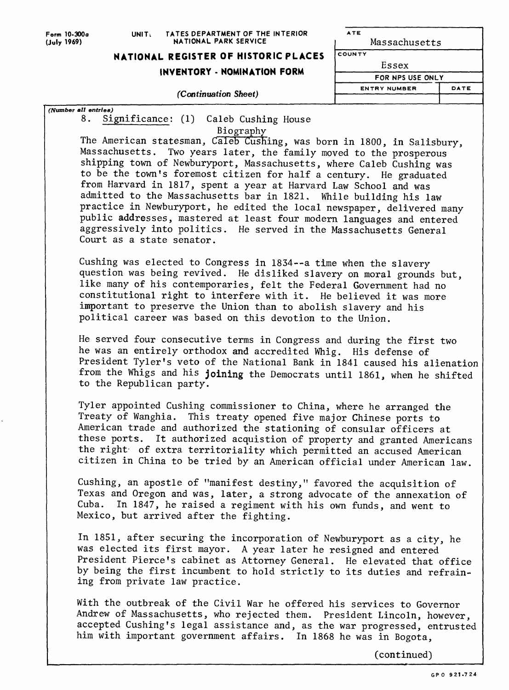#### Form 10-300o UNITi TATES DEPARTMENT OF THE INTERIOR **NATIONAL PARK SERVICE**

## **NATIONAL REGISTER OF HISTORIC PLACES**

### **INVENTORY - NOMINATION FORM**

ATE Massachusetts **COUNTY E s sex**  FOR NPS USE ONLY **ENTRY NUMBER** *(Continuation Sheet)* DATE

*(Number all entries)* 8. Significance: (1) Caleb Gushing House

Biography

The American statesman, Caleb Gushing, was born in 1800, in Salisbury, Massachusetts. Two years later, the family moved to the prosperous shipping town of Newburyport, Massachusetts, where Caleb Gushing was to be the town's foremost citizen for half a century. He graduated from Harvard in 1817, spent a year at Harvard Law School and was admitted to the Massachusetts bar in 1821. While building his law practice in Newburyport, he edited the local newspaper, delivered many public addresses, mastered at least four modern languages and entered aggressively into politics. He served in the Massachusetts General Court as a state senator.

Gushing was elected to Congress in 1834--a time when the slavery question was being revived. He disliked slavery on moral grounds but, like many of his contemporaries, felt the Federal Government had no constitutional right to interfere with it. He believed it was more important to preserve the Union than to abolish slavery and his political career was based on this devotion to the Union.

He served four consecutive terms in Congress and during the first two he was an entirely orthodox and accredited Whig. His defense of President Tyler's veto of the National Bank in 1841 caused his alienation from the Whigs and his joining the Democrats until 1861, when he shifted to the Republican party.

Tyler appointed Gushing commissioner to China, where he arranged the Treaty of Wanghia. This treaty opened five major Chinese ports to American trade and authorized the stationing of consular officers at these ports. It authorized acquistion of property and granted Americans the right of extra territoriality which permitted an accused American citizen in China to be tried by an American official under American law.

Gushing, an apostle of "manifest destiny," favored the acquisition of Texas and Oregon and was, later, a strong advocate of the annexation of Cuba. In 1847, he raised a regiment with his own funds, and went to Mexico, but arrived after the fighting.

In 1851, after securing the incorporation of Newburyport as a city, he was elected its first mayor. A year later he resigned and entered President Pierce's cabinet as Attorney General. He elevated that office by being the first incumbent to hold strictly to its duties and refraining from private law practice.

With the outbreak of the Civil War he offered his services to Governor Andrew of Massachusetts, who rejected them. President Lincoln, however, accepted Cushing's legal assistance and, as the war progressed, entrusted him with important government affairs. In 1868 he was in Bogota,

(continued)